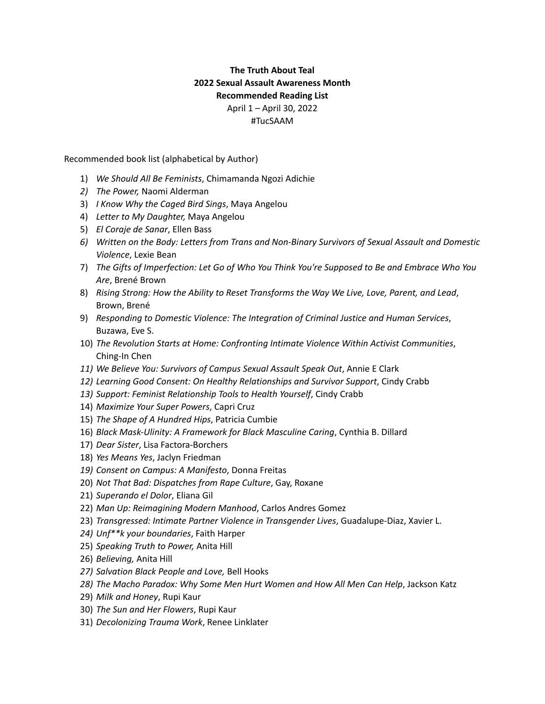## **The Truth About Teal 2022 Sexual Assault Awareness Month Recommended Reading List** April 1 – April 30, 2022 #TucSAAM

Recommended book list (alphabetical by Author)

- 1) *We Should All Be Feminists*, Chimamanda Ngozi Adichie
- *2) The Power,* Naomi Alderman
- 3) *I Know Why the Caged Bird Sings*, Maya Angelou
- 4) *Letter to My Daughter,* Maya Angelou
- 5) *El Coraje de Sanar*, Ellen Bass
- *6) Written on the Body: Letters from Trans and Non-Binary Survivors of Sexual Assault and Domestic Violence*, Lexie Bean
- 7) *The Gifts of Imperfection: Let Go of Who You Think You're Supposed to Be and Embrace Who You Are*, Brené Brown
- 8) *Rising Strong: How the Ability to Reset Transforms the Way We Live, Love, Parent, and Lead*, Brown, Brené
- 9) *Responding to Domestic Violence: The Integration of Criminal Justice and Human Services*, Buzawa, Eve S.
- 10) *The Revolution Starts at Home: Confronting Intimate Violence Within Activist Communities*, Ching-In Chen
- *11) We Believe You: Survivors of Campus Sexual Assault Speak Out*, Annie E Clark
- *12) Learning Good Consent: On Healthy Relationships and Survivor Support*, Cindy Crabb
- *13) Support: Feminist Relationship Tools to Health Yourself*, Cindy Crabb
- 14) *Maximize Your Super Powers*, Capri Cruz
- 15) *The Shape of A Hundred Hips*, Patricia Cumbie
- 16) *Black Mask-Ulinity: A Framework for Black Masculine Caring*, Cynthia B. Dillard
- 17) *Dear Sister*, Lisa Factora-Borchers
- 18) *Yes Means Yes*, Jaclyn Friedman
- *19) Consent on Campus: A Manifesto*, Donna Freitas
- 20) *Not That Bad: Dispatches from Rape Culture*, Gay, Roxane
- 21) *Superando el Dolor*, Eliana Gil
- 22) *Man Up: Reimagining Modern Manhood*, Carlos Andres Gomez
- 23) *Transgressed: Intimate Partner Violence in Transgender Lives*, Guadalupe-Diaz, Xavier L.
- *24) Unf\*\*k your boundaries*, Faith Harper
- 25) *Speaking Truth to Power,* Anita Hill
- 26) *Believing,* Anita Hill
- *27) Salvation Black People and Love,* Bell Hooks
- *28) The Macho Paradox: Why Some Men Hurt Women and How All Men Can Help*, Jackson Katz
- 29) *Milk and Honey*, Rupi Kaur
- 30) *The Sun and Her Flowers*, Rupi Kaur
- 31) *Decolonizing Trauma Work*, Renee Linklater